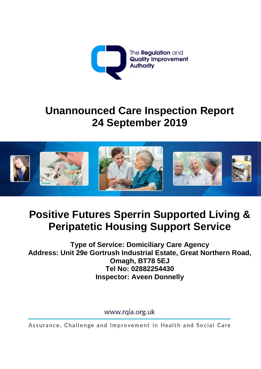

## **Unannounced Care Inspection Report 24 September 2019**



# **Positive Futures Sperrin Supported Living & Peripatetic Housing Support Service**

**Type of Service: Domiciliary Care Agency Address: Unit 29e Gortrush Industrial Estate, Great Northern Road, Omagh, BT78 5EJ Tel No: 02882254430 Inspector: Aveen Donnelly**

www.rqia.org.uk

Assurance, Challenge and Improvement in Health and Social Care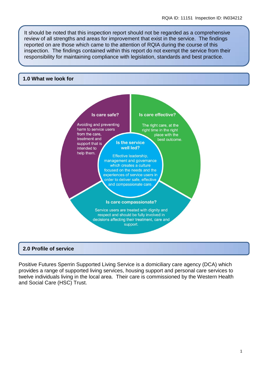It should be noted that this inspection report should not be regarded as a comprehensive review of all strengths and areas for improvement that exist in the service. The findings reported on are those which came to the attention of RQIA during the course of this inspection. The findings contained within this report do not exempt the service from their responsibility for maintaining compliance with legislation, standards and best practice.

#### **1.0 What we look for**



#### **2.0 Profile of service**

Positive Futures Sperrin Supported Living Service is a domiciliary care agency (DCA) which provides a range of supported living services, housing support and personal care services to twelve individuals living in the local area. Their care is commissioned by the Western Health and Social Care (HSC) Trust.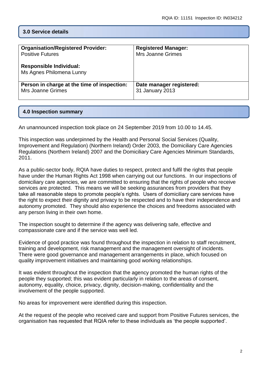### **3.0 Service details**

| <b>Organisation/Registered Provider:</b>                   | <b>Registered Manager:</b> |
|------------------------------------------------------------|----------------------------|
| <b>Positive Futures</b>                                    | <b>Mrs Joanne Grimes</b>   |
| <b>Responsible Individual:</b><br>Ms Agnes Philomena Lunny |                            |
| Person in charge at the time of inspection:                | Date manager registered:   |
| <b>Mrs Joanne Grimes</b>                                   | 31 January 2013            |

#### **4.0 Inspection summary**

An unannounced inspection took place on 24 September 2019 from 10.00 to 14.45.

This inspection was underpinned by the Health and Personal Social Services (Quality, Improvement and Regulation) (Northern Ireland) Order 2003, the Domiciliary Care Agencies Regulations (Northern Ireland) 2007 and the Domiciliary Care Agencies Minimum Standards, 2011.

As a public-sector body, RQIA have duties to respect, protect and fulfil the rights that people have under the Human Rights Act 1998 when carrying out our functions. In our inspections of domiciliary care agencies, we are committed to ensuring that the rights of people who receive services are protected. This means we will be seeking assurances from providers that they take all reasonable steps to promote people's rights. Users of domiciliary care services have the right to expect their dignity and privacy to be respected and to have their independence and autonomy promoted. They should also experience the choices and freedoms associated with any person living in their own home.

The inspection sought to determine if the agency was delivering safe, effective and compassionate care and if the service was well led.

Evidence of good practice was found throughout the inspection in relation to staff recruitment, training and development, risk management and the management oversight of incidents. There were good governance and management arrangements in place, which focused on quality improvement initiatives and maintaining good working relationships.

It was evident throughout the inspection that the agency promoted the human rights of the people they supported; this was evident particularly in relation to the areas of consent, autonomy, equality, choice, privacy, dignity, decision-making, confidentiality and the involvement of the people supported.

No areas for improvement were identified during this inspection.

At the request of the people who received care and support from Positive Futures services, the organisation has requested that RQIA refer to these individuals as 'the people supported'.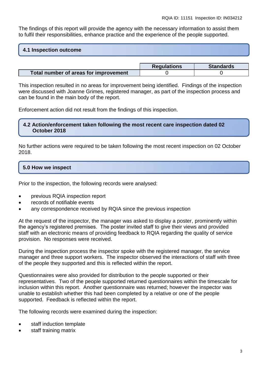The findings of this report will provide the agency with the necessary information to assist them to fulfil their responsibilities, enhance practice and the experience of the people supported.

#### **4.1 Inspection outcome**

|                                       | <b>Requlations</b> | <b>Standards</b> |
|---------------------------------------|--------------------|------------------|
| Total number of areas for improvement |                    |                  |

This inspection resulted in no areas for improvement being identified. Findings of the inspection were discussed with Joanne Grimes, registered manager, as part of the inspection process and can be found in the main body of the report.

Enforcement action did not result from the findings of this inspection.

#### **4.2 Action/enforcement taken following the most recent care inspection dated 02 October 2018**

No further actions were required to be taken following the most recent inspection on 02 October 2018.

## **5.0 How we inspect**

Prior to the inspection, the following records were analysed:

- previous RQIA inspection report
- records of notifiable events
- any correspondence received by RQIA since the previous inspection

At the request of the inspector, the manager was asked to display a poster, prominently within the agency's registered premises. The poster invited staff to give their views and provided staff with an electronic means of providing feedback to RQIA regarding the quality of service provision. No responses were received.

During the inspection process the inspector spoke with the registered manager, the service manager and three support workers. The inspector observed the interactions of staff with three of the people they supported and this is reflected within the report.

Questionnaires were also provided for distribution to the people supported or their representatives. Two of the people supported returned questionnaires within the timescale for inclusion within this report. Another questionnaire was returned; however the inspector was unable to establish whether this had been completed by a relative or one of the people supported. Feedback is reflected within the report.

The following records were examined during the inspection:

- staff induction template
- staff training matrix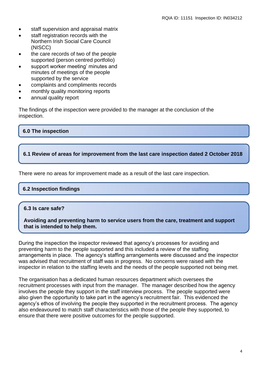- staff supervision and appraisal matrix
- staff registration records with the Northern Irish Social Care Council (NISCC)
- the care records of two of the people supported (person centred portfolio)
- support worker meeting' minutes and minutes of meetings of the people supported by the service
- complaints and compliments records
- monthly quality monitoring reports
- annual quality report

The findings of the inspection were provided to the manager at the conclusion of the inspection.

#### **6.0 The inspection**

#### **6.1 Review of areas for improvement from the last care inspection dated 2 October 2018**

There were no areas for improvement made as a result of the last care inspection.

#### **6.2 Inspection findings**

#### **6.3 Is care safe?**

**Avoiding and preventing harm to service users from the care, treatment and support that is intended to help them.**

During the inspection the inspector reviewed that agency's processes for avoiding and preventing harm to the people supported and this included a review of the staffing arrangements in place. The agency's staffing arrangements were discussed and the inspector was advised that recruitment of staff was in progress. No concerns were raised with the inspector in relation to the staffing levels and the needs of the people supported not being met.

The organisation has a dedicated human resources department which oversees the recruitment processes with input from the manager. The manager described how the agency involves the people they support in the staff interview process. The people supported were also given the opportunity to take part in the agency's recruitment fair. This evidenced the agency's ethos of involving the people they supported in the recruitment process. The agency also endeavoured to match staff characteristics with those of the people they supported, to ensure that there were positive outcomes for the people supported.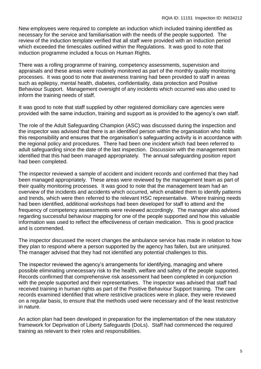New employees were required to complete an induction which included training identified as necessary for the service and familiarisation with the needs of the people supported. The review of the induction template verified that all staff were provided with an induction period which exceeded the timescales outlined within the Regulations. It was good to note that induction programme included a focus on Human Rights.

There was a rolling programme of training, competency assessments, supervision and appraisals and these areas were routinely monitored as part of the monthly quality monitoring processes. It was good to note that awareness training had been provided to staff in areas such as epilepsy, mental health, diabetes, confidentiality, data protection and Positive Behaviour Support. Management oversight of any incidents which occurred was also used to inform the training needs of staff.

It was good to note that staff supplied by other registered domiciliary care agencies were provided with the same induction, training and support as is provided to the agency's own staff.

The role of the Adult Safeguarding Champion (ASC) was discussed during the inspection and the inspector was advised that there is an identified person within the organisation who holds this responsibility and ensures that the organisation's safeguarding activity is in accordance with the regional policy and procedures. There had been one incident which had been referred to adult safeguarding since the date of the last inspection. Discussion with the management team identified that this had been managed appropriately. The annual safeguarding position report had been completed.

The inspector reviewed a sample of accident and incident records and confirmed that they had been managed appropriately. These areas were reviewed by the management team as part of their quality monitoring processes. It was good to note that the management team had an overview of the incidents and accidents which occurred, which enabled them to identify patterns and trends, which were then referred to the relevant HSC representative. Where training needs had been identified, additional workshops had been developed for staff to attend and the frequency of competency assessments were reviewed accordingly. The manager also advised regarding successful behaviour mapping for one of the people supported and how this valuable information was used to reflect the effectiveness of certain medication. This is good practice and is commended.

The inspector discussed the recent changes the ambulance service has made in relation to how they plan to respond where a person supported by the agency has fallen, but are uninjured. The manager advised that they had not identified any potential challenges to this.

The inspector reviewed the agency's arrangements for identifying, managing and where possible eliminating unnecessary risk to the health, welfare and safety of the people supported. Records confirmed that comprehensive risk assessment had been completed in conjunction with the people supported and their representatives. The inspector was advised that staff had received training in human rights as part of the Positive Behaviour Support training. The care records examined identified that where restrictive practices were in place, they were reviewed on a regular basis, to ensure that the methods used were necessary and of the least restrictive in nature.

An action plan had been developed in preparation for the implementation of the new statutory framework for Deprivation of Liberty Safeguards (DoLs). Staff had commenced the required training as relevant to their roles and responsibilities.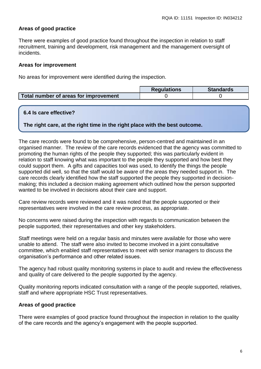## **Areas of good practice**

There were examples of good practice found throughout the inspection in relation to staff recruitment, training and development, risk management and the management oversight of incidents.

### **Areas for improvement**

No areas for improvement were identified during the inspection.

|                                       | <b>Requlations</b> | <b>Standards</b> |
|---------------------------------------|--------------------|------------------|
| Total number of areas for improvement |                    |                  |

## **6.4 Is care effective?**

**The right care, at the right time in the right place with the best outcome.**

The care records were found to be comprehensive, person-centred and maintained in an organised manner. The review of the care records evidenced that the agency was committed to promoting the human rights of the people they supported; this was particularly evident in relation to staff knowing what was important to the people they supported and how best they could support them. A gifts and capacities tool was used, to identify the things the people supported did well, so that the staff would be aware of the areas they needed support in. The care records clearly identified how the staff supported the people they supported in decisionmaking; this included a decision making agreement which outlined how the person supported wanted to be involved in decisions about their care and support.

Care review records were reviewed and it was noted that the people supported or their representatives were involved in the care review process, as appropriate.

No concerns were raised during the inspection with regards to communication between the people supported, their representatives and other key stakeholders.

Staff meetings were held on a regular basis and minutes were available for those who were unable to attend. The staff were also invited to become involved in a joint consultative committee, which enabled staff representatives to meet with senior managers to discuss the organisation's performance and other related issues.

The agency had robust quality monitoring systems in place to audit and review the effectiveness and quality of care delivered to the people supported by the agency.

Quality monitoring reports indicated consultation with a range of the people supported, relatives, staff and where appropriate HSC Trust representatives.

## **Areas of good practice**

There were examples of good practice found throughout the inspection in relation to the quality of the care records and the agency's engagement with the people supported.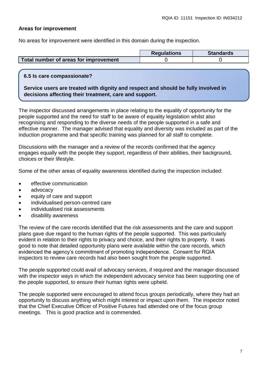#### **Areas for improvement**

No areas for improvement were identified in this domain during the inspection.

|                                       | <b>Requlations</b> | <b>Standards</b> |
|---------------------------------------|--------------------|------------------|
| Total number of areas for improvement |                    |                  |

#### **6.5 Is care compassionate?**

**Service users are treated with dignity and respect and should be fully involved in decisions affecting their treatment, care and support.**

The inspector discussed arrangements in place relating to the equality of opportunity for the people supported and the need for staff to be aware of equality legislation whilst also recognising and responding to the diverse needs of the people supported in a safe and effective manner. The manager advised that equality and diversity was included as part of the induction programme and that specific training was planned for all staff to complete.

Discussions with the manager and a review of the records confirmed that the agency engages equally with the people they support, regardless of their abilities, their background, choices or their lifestyle.

Some of the other areas of equality awareness identified during the inspection included:

- effective communication
- advocacy
- equity of care and support
- individualised person-centred care
- individualised risk assessments
- disability awareness

The review of the care records identified that the risk assessments and the care and support plans gave due regard to the human rights of the people supported. This was particularly evident in relation to their rights to privacy and choice, and their rights to property. It was good to note that detailed opportunity plans were available within the care records, which evidenced the agency's commitment of promoting independence. Consent for RQIA inspectors to review care records had also been sought from the people supported.

The people supported could avail of advocacy services, if required and the manager discussed with the inspector ways in which the independent advocacy service has been supporting one of the people supported, to ensure their human rights were upheld.

The people supported were encouraged to attend focus groups periodically, where they had an opportunity to discuss anything which might interest or impact upon them. The inspector noted that the Chief Executive Officer of Positive Futures had attended one of the focus group meetings. This is good practice and is commended.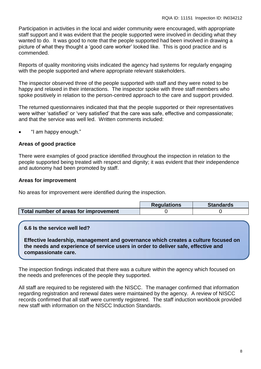Participation in activities in the local and wider community were encouraged, with appropriate staff support and it was evident that the people supported were involved in deciding what they wanted to do. It was good to note that the people supported had been involved in drawing a picture of what they thought a 'good care worker' looked like. This is good practice and is commended.

Reports of quality monitoring visits indicated the agency had systems for regularly engaging with the people supported and where appropriate relevant stakeholders.

The inspector observed three of the people supported with staff and they were noted to be happy and relaxed in their interactions. The inspector spoke with three staff members who spoke positively in relation to the person-centred approach to the care and support provided.

The returned questionnaires indicated that that the people supported or their representatives were wither 'satisfied' or 'very satisfied' that the care was safe, effective and compassionate; and that the service was well led. Written comments included:

• "I am happy enough."

## **Areas of good practice**

There were examples of good practice identified throughout the inspection in relation to the people supported being treated with respect and dignity; it was evident that their independence and autonomy had been promoted by staff.

## **Areas for improvement**

No areas for improvement were identified during the inspection.

|                                       | <b>Requlations</b> | <b>Standards</b> |
|---------------------------------------|--------------------|------------------|
| Total number of areas for improvement |                    |                  |

## **6.6 Is the service well led?**

**Effective leadership, management and governance which creates a culture focused on the needs and experience of service users in order to deliver safe, effective and compassionate care.**

The inspection findings indicated that there was a culture within the agency which focused on the needs and preferences of the people they supported.

All staff are required to be registered with the NISCC. The manager confirmed that information regarding registration and renewal dates were maintained by the agency. A review of NISCC records confirmed that all staff were currently registered. The staff induction workbook provided new staff with information on the NISCC Induction Standards.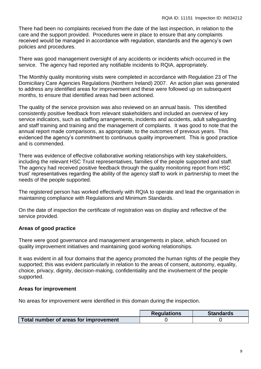There had been no complaints received from the date of the last inspection, in relation to the care and the support provided. Procedures were in place to ensure that any complaints received would be managed in accordance with regulation, standards and the agency's own policies and procedures.

There was good management oversight of any accidents or incidents which occurred in the service. The agency had reported any notifiable incidents to RQIA, appropriately.

The Monthly quality monitoring visits were completed in accordance with Regulation 23 of The Domiciliary Care Agencies Regulations (Northern Ireland) 2007. An action plan was generated to address any identified areas for improvement and these were followed up on subsequent months, to ensure that identified areas had been actioned.

The quality of the service provision was also reviewed on an annual basis. This identified consistently positive feedback from relevant stakeholders and included an overview of key service indicators, such as staffing arrangements, incidents and accidents, adult safeguarding and staff training and training and the management of complaints. It was good to note that the annual report made comparisons, as appropriate, to the outcomes of previous years. This evidenced the agency's commitment to continuous quality improvement. This is good practice and is commended.

There was evidence of effective collaborative working relationships with key stakeholders, including the relevant HSC Trust representatives, families of the people supported and staff. The agency had received positive feedback through the quality monitoring report from HSC trust' representatives regarding the ability of the agency staff to work in partnership to meet the needs of the people supported.

The registered person has worked effectively with RQIA to operate and lead the organisation in maintaining compliance with Regulations and Minimum Standards.

On the date of inspection the certificate of registration was on display and reflective of the service provided.

## **Areas of good practice**

There were good governance and management arrangements in place, which focused on quality improvement initiatives and maintaining good working relationships.

It was evident in all four domains that the agency promoted the human rights of the people they supported; this was evident particularly in relation to the areas of consent, autonomy, equality, choice, privacy, dignity, decision-making, confidentiality and the involvement of the people supported.

## **Areas for improvement**

No areas for improvement were identified in this domain during the inspection.

|                                       | <b>Regulations</b> | <b>Standards</b> |
|---------------------------------------|--------------------|------------------|
| Total number of areas for improvement |                    |                  |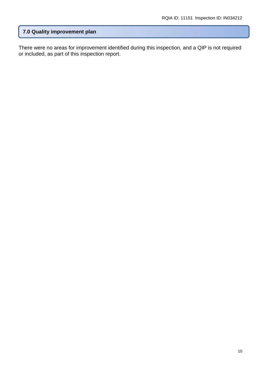## **7.0 Quality improvement plan**

There were no areas for improvement identified during this inspection, and a QIP is not required or included, as part of this inspection report.